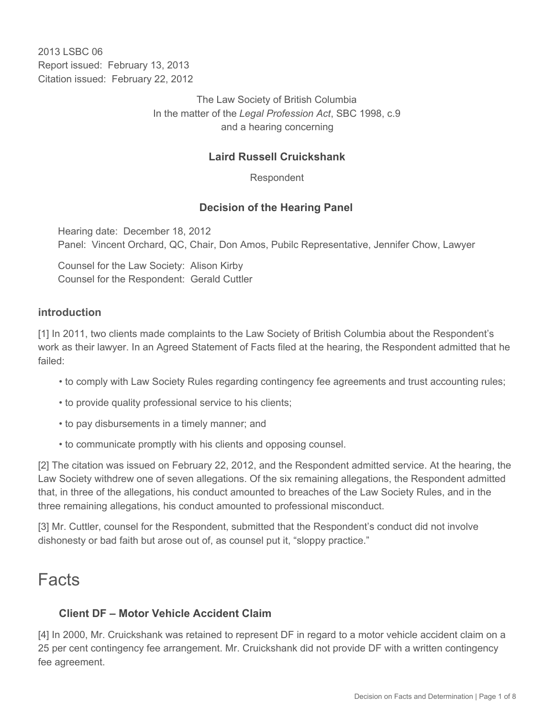2013 LSBC 06 Report issued: February 13, 2013 Citation issued: February 22, 2012

> The Law Society of British Columbia In the matter of the *Legal Profession Act*, SBC 1998, c.9 and a hearing concerning

## **Laird Russell Cruickshank**

Respondent

## **Decision of the Hearing Panel**

Hearing date: December 18, 2012 Panel: Vincent Orchard, QC, Chair, Don Amos, Pubilc Representative, Jennifer Chow, Lawyer

Counsel for the Law Society: Alison Kirby Counsel for the Respondent: Gerald Cuttler

#### **introduction**

[1] In 2011, two clients made complaints to the Law Society of British Columbia about the Respondent's work as their lawyer. In an Agreed Statement of Facts filed at the hearing, the Respondent admitted that he failed:

- to comply with Law Society Rules regarding contingency fee agreements and trust accounting rules;
- to provide quality professional service to his clients;
- to pay disbursements in a timely manner; and
- to communicate promptly with his clients and opposing counsel.

[2] The citation was issued on February 22, 2012, and the Respondent admitted service. At the hearing, the Law Society withdrew one of seven allegations. Of the six remaining allegations, the Respondent admitted that, in three of the allegations, his conduct amounted to breaches of the Law Society Rules, and in the three remaining allegations, his conduct amounted to professional misconduct.

[3] Mr. Cuttler, counsel for the Respondent, submitted that the Respondent's conduct did not involve dishonesty or bad faith but arose out of, as counsel put it, "sloppy practice."

# Facts

## **Client DF – Motor Vehicle Accident Claim**

[4] In 2000, Mr. Cruickshank was retained to represent DF in regard to a motor vehicle accident claim on a 25 per cent contingency fee arrangement. Mr. Cruickshank did not provide DF with a written contingency fee agreement.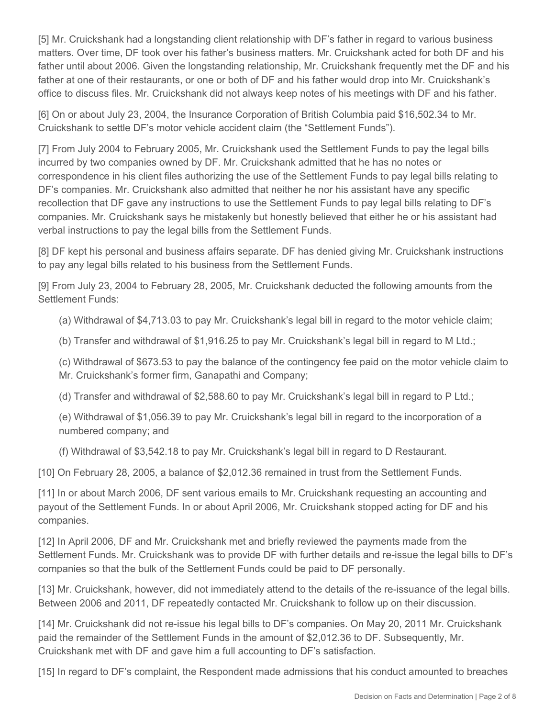[5] Mr. Cruickshank had a longstanding client relationship with DF's father in regard to various business matters. Over time, DF took over his father's business matters. Mr. Cruickshank acted for both DF and his father until about 2006. Given the longstanding relationship, Mr. Cruickshank frequently met the DF and his father at one of their restaurants, or one or both of DF and his father would drop into Mr. Cruickshank's office to discuss files. Mr. Cruickshank did not always keep notes of his meetings with DF and his father.

[6] On or about July 23, 2004, the Insurance Corporation of British Columbia paid \$16,502.34 to Mr. Cruickshank to settle DF's motor vehicle accident claim (the "Settlement Funds").

[7] From July 2004 to February 2005, Mr. Cruickshank used the Settlement Funds to pay the legal bills incurred by two companies owned by DF. Mr. Cruickshank admitted that he has no notes or correspondence in his client files authorizing the use of the Settlement Funds to pay legal bills relating to DF's companies. Mr. Cruickshank also admitted that neither he nor his assistant have any specific recollection that DF gave any instructions to use the Settlement Funds to pay legal bills relating to DF's companies. Mr. Cruickshank says he mistakenly but honestly believed that either he or his assistant had verbal instructions to pay the legal bills from the Settlement Funds.

[8] DF kept his personal and business affairs separate. DF has denied giving Mr. Cruickshank instructions to pay any legal bills related to his business from the Settlement Funds.

[9] From July 23, 2004 to February 28, 2005, Mr. Cruickshank deducted the following amounts from the Settlement Funds:

(a) Withdrawal of \$4,713.03 to pay Mr. Cruickshank's legal bill in regard to the motor vehicle claim;

(b) Transfer and withdrawal of \$1,916.25 to pay Mr. Cruickshank's legal bill in regard to M Ltd.;

(c) Withdrawal of \$673.53 to pay the balance of the contingency fee paid on the motor vehicle claim to Mr. Cruickshank's former firm, Ganapathi and Company;

(d) Transfer and withdrawal of \$2,588.60 to pay Mr. Cruickshank's legal bill in regard to P Ltd.;

(e) Withdrawal of \$1,056.39 to pay Mr. Cruickshank's legal bill in regard to the incorporation of a numbered company; and

(f) Withdrawal of \$3,542.18 to pay Mr. Cruickshank's legal bill in regard to D Restaurant.

[10] On February 28, 2005, a balance of \$2,012.36 remained in trust from the Settlement Funds.

[11] In or about March 2006, DF sent various emails to Mr. Cruickshank requesting an accounting and payout of the Settlement Funds. In or about April 2006, Mr. Cruickshank stopped acting for DF and his companies.

[12] In April 2006, DF and Mr. Cruickshank met and briefly reviewed the payments made from the Settlement Funds. Mr. Cruickshank was to provide DF with further details and re-issue the legal bills to DF's companies so that the bulk of the Settlement Funds could be paid to DF personally.

[13] Mr. Cruickshank, however, did not immediately attend to the details of the re-issuance of the legal bills. Between 2006 and 2011, DF repeatedly contacted Mr. Cruickshank to follow up on their discussion.

[14] Mr. Cruickshank did not re-issue his legal bills to DF's companies. On May 20, 2011 Mr. Cruickshank paid the remainder of the Settlement Funds in the amount of \$2,012.36 to DF. Subsequently, Mr. Cruickshank met with DF and gave him a full accounting to DF's satisfaction.

[15] In regard to DF's complaint, the Respondent made admissions that his conduct amounted to breaches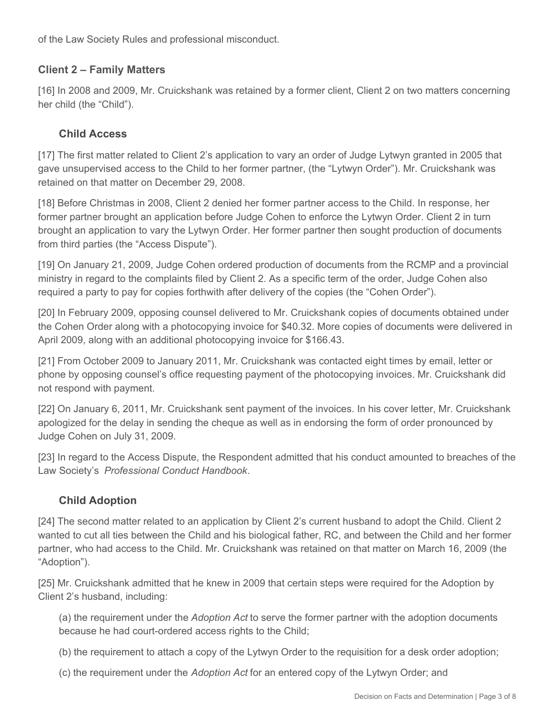of the Law Society Rules and professional misconduct.

## **Client 2 – Family Matters**

[16] In 2008 and 2009, Mr. Cruickshank was retained by a former client, Client 2 on two matters concerning her child (the "Child").

## **Child Access**

[17] The first matter related to Client 2's application to vary an order of Judge Lytwyn granted in 2005 that gave unsupervised access to the Child to her former partner, (the "Lytwyn Order"). Mr. Cruickshank was retained on that matter on December 29, 2008.

[18] Before Christmas in 2008, Client 2 denied her former partner access to the Child. In response, her former partner brought an application before Judge Cohen to enforce the Lytwyn Order. Client 2 in turn brought an application to vary the Lytwyn Order. Her former partner then sought production of documents from third parties (the "Access Dispute").

[19] On January 21, 2009, Judge Cohen ordered production of documents from the RCMP and a provincial ministry in regard to the complaints filed by Client 2. As a specific term of the order, Judge Cohen also required a party to pay for copies forthwith after delivery of the copies (the "Cohen Order").

[20] In February 2009, opposing counsel delivered to Mr. Cruickshank copies of documents obtained under the Cohen Order along with a photocopying invoice for \$40.32. More copies of documents were delivered in April 2009, along with an additional photocopying invoice for \$166.43.

[21] From October 2009 to January 2011, Mr. Cruickshank was contacted eight times by email, letter or phone by opposing counsel's office requesting payment of the photocopying invoices. Mr. Cruickshank did not respond with payment.

[22] On January 6, 2011, Mr. Cruickshank sent payment of the invoices. In his cover letter, Mr. Cruickshank apologized for the delay in sending the cheque as well as in endorsing the form of order pronounced by Judge Cohen on July 31, 2009.

[23] In regard to the Access Dispute, the Respondent admitted that his conduct amounted to breaches of the Law Society's *Professional Conduct Handbook*.

## **Child Adoption**

[24] The second matter related to an application by Client 2's current husband to adopt the Child. Client 2 wanted to cut all ties between the Child and his biological father, RC, and between the Child and her former partner, who had access to the Child. Mr. Cruickshank was retained on that matter on March 16, 2009 (the "Adoption").

[25] Mr. Cruickshank admitted that he knew in 2009 that certain steps were required for the Adoption by Client 2's husband, including:

(a) the requirement under the *Adoption Act* to serve the former partner with the adoption documents because he had court-ordered access rights to the Child;

(b) the requirement to attach a copy of the Lytwyn Order to the requisition for a desk order adoption;

(c) the requirement under the *Adoption Act* for an entered copy of the Lytwyn Order; and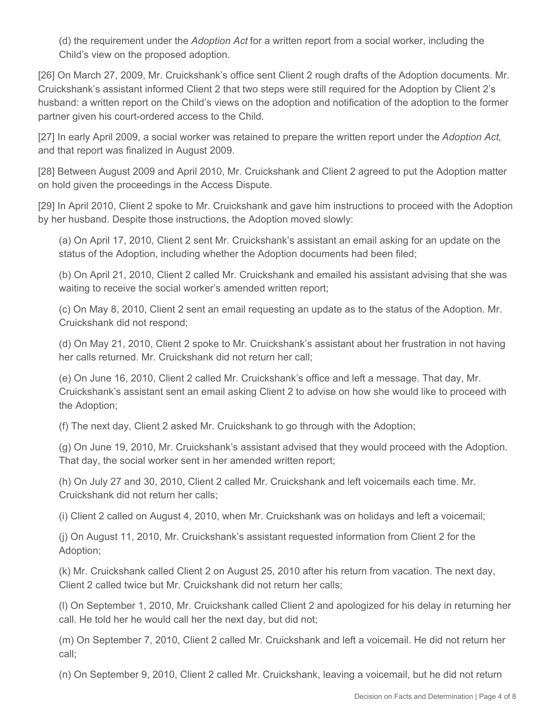(d) the requirement under the *Adoption Act* for a written report from a social worker, including the Child's view on the proposed adoption.

[26] On March 27, 2009, Mr. Cruickshank's office sent Client 2 rough drafts of the Adoption documents. Mr. Cruickshank's assistant informed Client 2 that two steps were still required for the Adoption by Client 2's husband: a written report on the Child's views on the adoption and notification of the adoption to the former partner given his court-ordered access to the Child.

[27] In early April 2009, a social worker was retained to prepare the written report under the *Adoption Act*, and that report was finalized in August 2009.

[28] Between August 2009 and April 2010, Mr. Cruickshank and Client 2 agreed to put the Adoption matter on hold given the proceedings in the Access Dispute.

[29] In April 2010, Client 2 spoke to Mr. Cruickshank and gave him instructions to proceed with the Adoption by her husband. Despite those instructions, the Adoption moved slowly:

(a) On April 17, 2010, Client 2 sent Mr. Cruickshank's assistant an email asking for an update on the status of the Adoption, including whether the Adoption documents had been filed;

(b) On April 21, 2010, Client 2 called Mr. Cruickshank and emailed his assistant advising that she was waiting to receive the social worker's amended written report;

(c) On May 8, 2010, Client 2 sent an email requesting an update as to the status of the Adoption. Mr. Cruickshank did not respond;

(d) On May 21, 2010, Client 2 spoke to Mr. Cruickshank's assistant about her frustration in not having her calls returned. Mr. Cruickshank did not return her call;

(e) On June 16, 2010, Client 2 called Mr. Cruickshank's office and left a message. That day, Mr. Cruickshank's assistant sent an email asking Client 2 to advise on how she would like to proceed with the Adoption;

(f) The next day, Client 2 asked Mr. Cruickshank to go through with the Adoption;

(g) On June 19, 2010, Mr. Cruickshank's assistant advised that they would proceed with the Adoption. That day, the social worker sent in her amended written report;

(h) On July 27 and 30, 2010, Client 2 called Mr. Cruickshank and left voicemails each time. Mr. Cruickshank did not return her calls;

(i) Client 2 called on August 4, 2010, when Mr. Cruickshank was on holidays and left a voicemail;

(j) On August 11, 2010, Mr. Cruickshank's assistant requested information from Client 2 for the Adoption;

(k) Mr. Cruickshank called Client 2 on August 25, 2010 after his return from vacation. The next day, Client 2 called twice but Mr. Cruickshank did not return her calls;

(l) On September 1, 2010, Mr. Cruickshank called Client 2 and apologized for his delay in returning her call. He told her he would call her the next day, but did not;

(m) On September 7, 2010, Client 2 called Mr. Cruickshank and left a voicemail. He did not return her call;

(n) On September 9, 2010, Client 2 called Mr. Cruickshank, leaving a voicemail, but he did not return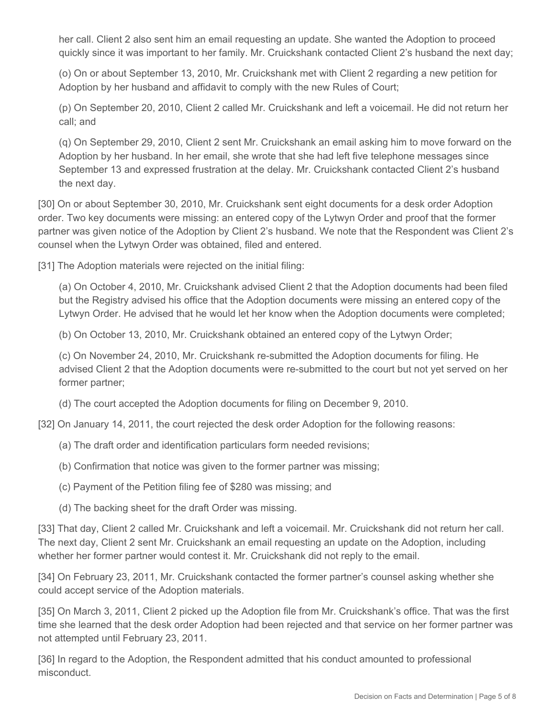her call. Client 2 also sent him an email requesting an update. She wanted the Adoption to proceed quickly since it was important to her family. Mr. Cruickshank contacted Client 2's husband the next day;

(o) On or about September 13, 2010, Mr. Cruickshank met with Client 2 regarding a new petition for Adoption by her husband and affidavit to comply with the new Rules of Court;

(p) On September 20, 2010, Client 2 called Mr. Cruickshank and left a voicemail. He did not return her call; and

(q) On September 29, 2010, Client 2 sent Mr. Cruickshank an email asking him to move forward on the Adoption by her husband. In her email, she wrote that she had left five telephone messages since September 13 and expressed frustration at the delay. Mr. Cruickshank contacted Client 2's husband the next day.

[30] On or about September 30, 2010, Mr. Cruickshank sent eight documents for a desk order Adoption order. Two key documents were missing: an entered copy of the Lytwyn Order and proof that the former partner was given notice of the Adoption by Client 2's husband. We note that the Respondent was Client 2's counsel when the Lytwyn Order was obtained, filed and entered.

[31] The Adoption materials were rejected on the initial filing:

(a) On October 4, 2010, Mr. Cruickshank advised Client 2 that the Adoption documents had been filed but the Registry advised his office that the Adoption documents were missing an entered copy of the Lytwyn Order. He advised that he would let her know when the Adoption documents were completed;

(b) On October 13, 2010, Mr. Cruickshank obtained an entered copy of the Lytwyn Order;

(c) On November 24, 2010, Mr. Cruickshank re-submitted the Adoption documents for filing. He advised Client 2 that the Adoption documents were re-submitted to the court but not yet served on her former partner;

(d) The court accepted the Adoption documents for filing on December 9, 2010.

[32] On January 14, 2011, the court rejected the desk order Adoption for the following reasons:

- (a) The draft order and identification particulars form needed revisions;
- (b) Confirmation that notice was given to the former partner was missing;
- (c) Payment of the Petition filing fee of \$280 was missing; and
- (d) The backing sheet for the draft Order was missing.

[33] That day, Client 2 called Mr. Cruickshank and left a voicemail. Mr. Cruickshank did not return her call. The next day, Client 2 sent Mr. Cruickshank an email requesting an update on the Adoption, including whether her former partner would contest it. Mr. Cruickshank did not reply to the email.

[34] On February 23, 2011, Mr. Cruickshank contacted the former partner's counsel asking whether she could accept service of the Adoption materials.

[35] On March 3, 2011, Client 2 picked up the Adoption file from Mr. Cruickshank's office. That was the first time she learned that the desk order Adoption had been rejected and that service on her former partner was not attempted until February 23, 2011.

[36] In regard to the Adoption, the Respondent admitted that his conduct amounted to professional misconduct.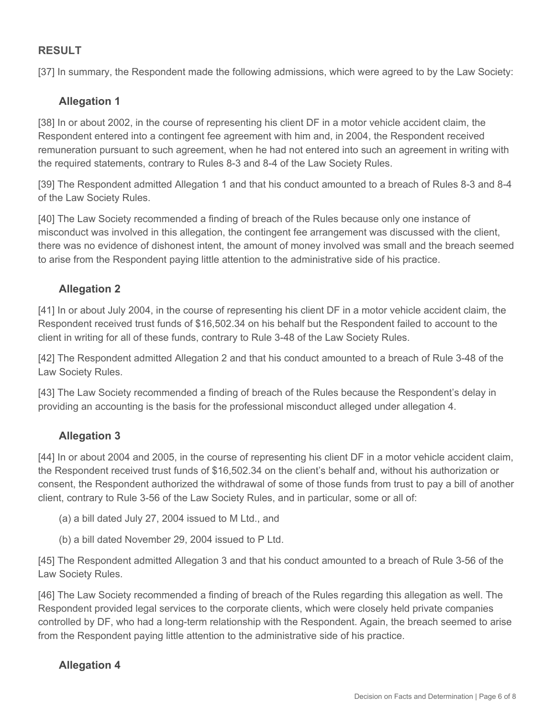## **RESULT**

[37] In summary, the Respondent made the following admissions, which were agreed to by the Law Society:

#### **Allegation 1**

[38] In or about 2002, in the course of representing his client DF in a motor vehicle accident claim, the Respondent entered into a contingent fee agreement with him and, in 2004, the Respondent received remuneration pursuant to such agreement, when he had not entered into such an agreement in writing with the required statements, contrary to Rules 8-3 and 8-4 of the Law Society Rules.

[39] The Respondent admitted Allegation 1 and that his conduct amounted to a breach of Rules 8-3 and 8-4 of the Law Society Rules.

[40] The Law Society recommended a finding of breach of the Rules because only one instance of misconduct was involved in this allegation, the contingent fee arrangement was discussed with the client, there was no evidence of dishonest intent, the amount of money involved was small and the breach seemed to arise from the Respondent paying little attention to the administrative side of his practice.

#### **Allegation 2**

[41] In or about July 2004, in the course of representing his client DF in a motor vehicle accident claim, the Respondent received trust funds of \$16,502.34 on his behalf but the Respondent failed to account to the client in writing for all of these funds, contrary to Rule 3-48 of the Law Society Rules.

[42] The Respondent admitted Allegation 2 and that his conduct amounted to a breach of Rule 3-48 of the Law Society Rules.

[43] The Law Society recommended a finding of breach of the Rules because the Respondent's delay in providing an accounting is the basis for the professional misconduct alleged under allegation 4.

## **Allegation 3**

[44] In or about 2004 and 2005, in the course of representing his client DF in a motor vehicle accident claim, the Respondent received trust funds of \$16,502.34 on the client's behalf and, without his authorization or consent, the Respondent authorized the withdrawal of some of those funds from trust to pay a bill of another client, contrary to Rule 3-56 of the Law Society Rules, and in particular, some or all of:

- (a) a bill dated July 27, 2004 issued to M Ltd., and
- (b) a bill dated November 29, 2004 issued to P Ltd.

[45] The Respondent admitted Allegation 3 and that his conduct amounted to a breach of Rule 3-56 of the Law Society Rules.

[46] The Law Society recommended a finding of breach of the Rules regarding this allegation as well. The Respondent provided legal services to the corporate clients, which were closely held private companies controlled by DF, who had a long-term relationship with the Respondent. Again, the breach seemed to arise from the Respondent paying little attention to the administrative side of his practice.

## **Allegation 4**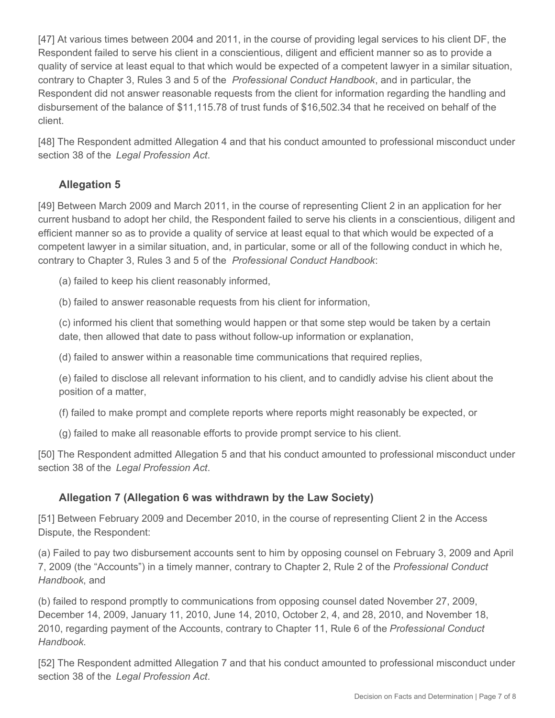[47] At various times between 2004 and 2011, in the course of providing legal services to his client DF, the Respondent failed to serve his client in a conscientious, diligent and efficient manner so as to provide a quality of service at least equal to that which would be expected of a competent lawyer in a similar situation, contrary to Chapter 3, Rules 3 and 5 of the *Professional Conduct Handbook*, and in particular, the Respondent did not answer reasonable requests from the client for information regarding the handling and disbursement of the balance of \$11,115.78 of trust funds of \$16,502.34 that he received on behalf of the client.

[48] The Respondent admitted Allegation 4 and that his conduct amounted to professional misconduct under section 38 of the *Legal Profession Act*.

# **Allegation 5**

[49] Between March 2009 and March 2011, in the course of representing Client 2 in an application for her current husband to adopt her child, the Respondent failed to serve his clients in a conscientious, diligent and efficient manner so as to provide a quality of service at least equal to that which would be expected of a competent lawyer in a similar situation, and, in particular, some or all of the following conduct in which he, contrary to Chapter 3, Rules 3 and 5 of the *Professional Conduct Handbook*:

(a) failed to keep his client reasonably informed,

(b) failed to answer reasonable requests from his client for information,

(c) informed his client that something would happen or that some step would be taken by a certain date, then allowed that date to pass without follow-up information or explanation,

(d) failed to answer within a reasonable time communications that required replies,

(e) failed to disclose all relevant information to his client, and to candidly advise his client about the position of a matter,

(f) failed to make prompt and complete reports where reports might reasonably be expected, or

(g) failed to make all reasonable efforts to provide prompt service to his client.

[50] The Respondent admitted Allegation 5 and that his conduct amounted to professional misconduct under section 38 of the *Legal Profession Act*.

# **Allegation 7 (Allegation 6 was withdrawn by the Law Society)**

[51] Between February 2009 and December 2010, in the course of representing Client 2 in the Access Dispute, the Respondent:

(a) Failed to pay two disbursement accounts sent to him by opposing counsel on February 3, 2009 and April 7, 2009 (the "Accounts") in a timely manner, contrary to Chapter 2, Rule 2 of the *Professional Conduct Handbook*, and

(b) failed to respond promptly to communications from opposing counsel dated November 27, 2009, December 14, 2009, January 11, 2010, June 14, 2010, October 2, 4, and 28, 2010, and November 18, 2010, regarding payment of the Accounts, contrary to Chapter 11, Rule 6 of the *Professional Conduct Handbook*.

[52] The Respondent admitted Allegation 7 and that his conduct amounted to professional misconduct under section 38 of the *Legal Profession Act*.